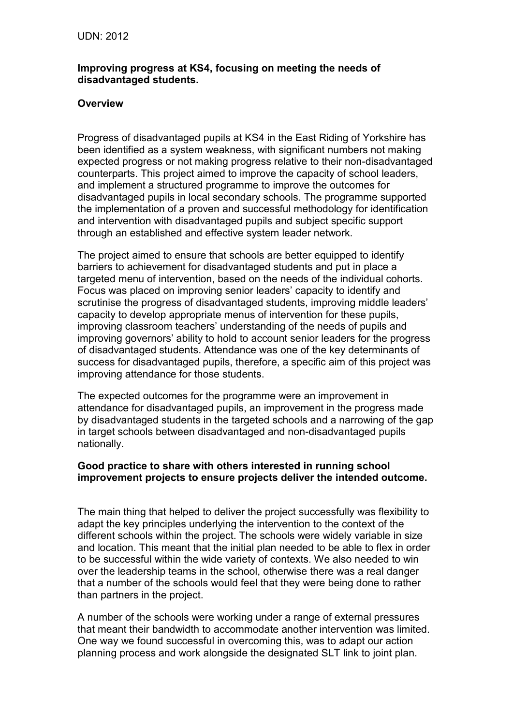## **Improving progress at KS4, focusing on meeting the needs of disadvantaged students.**

### **Overview**

Progress of disadvantaged pupils at KS4 in the East Riding of Yorkshire has been identified as a system weakness, with significant numbers not making expected progress or not making progress relative to their non-disadvantaged counterparts. This project aimed to improve the capacity of school leaders, and implement a structured programme to improve the outcomes for disadvantaged pupils in local secondary schools. The programme supported the implementation of a proven and successful methodology for identification and intervention with disadvantaged pupils and subject specific support through an established and effective system leader network.

The project aimed to ensure that schools are better equipped to identify barriers to achievement for disadvantaged students and put in place a targeted menu of intervention, based on the needs of the individual cohorts. Focus was placed on improving senior leaders' capacity to identify and scrutinise the progress of disadvantaged students, improving middle leaders' capacity to develop appropriate menus of intervention for these pupils, improving classroom teachers' understanding of the needs of pupils and improving governors' ability to hold to account senior leaders for the progress of disadvantaged students. Attendance was one of the key determinants of success for disadvantaged pupils, therefore, a specific aim of this project was improving attendance for those students.

The expected outcomes for the programme were an improvement in attendance for disadvantaged pupils, an improvement in the progress made by disadvantaged students in the targeted schools and a narrowing of the gap in target schools between disadvantaged and non-disadvantaged pupils nationally.

### **Good practice to share with others interested in running school improvement projects to ensure projects deliver the intended outcome.**

The main thing that helped to deliver the project successfully was flexibility to adapt the key principles underlying the intervention to the context of the different schools within the project. The schools were widely variable in size and location. This meant that the initial plan needed to be able to flex in order to be successful within the wide variety of contexts. We also needed to win over the leadership teams in the school, otherwise there was a real danger that a number of the schools would feel that they were being done to rather than partners in the project.

A number of the schools were working under a range of external pressures that meant their bandwidth to accommodate another intervention was limited. One way we found successful in overcoming this, was to adapt our action planning process and work alongside the designated SLT link to joint plan.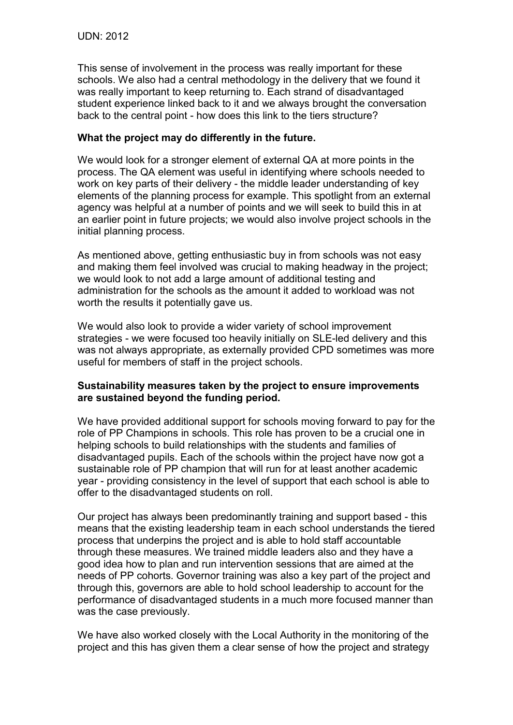This sense of involvement in the process was really important for these schools. We also had a central methodology in the delivery that we found it was really important to keep returning to. Each strand of disadvantaged student experience linked back to it and we always brought the conversation back to the central point - how does this link to the tiers structure?

# **What the project may do differently in the future.**

We would look for a stronger element of external QA at more points in the process. The QA element was useful in identifying where schools needed to work on key parts of their delivery - the middle leader understanding of key elements of the planning process for example. This spotlight from an external agency was helpful at a number of points and we will seek to build this in at an earlier point in future projects; we would also involve project schools in the initial planning process.

As mentioned above, getting enthusiastic buy in from schools was not easy and making them feel involved was crucial to making headway in the project; we would look to not add a large amount of additional testing and administration for the schools as the amount it added to workload was not worth the results it potentially gave us.

We would also look to provide a wider variety of school improvement strategies - we were focused too heavily initially on SLE-led delivery and this was not always appropriate, as externally provided CPD sometimes was more useful for members of staff in the project schools.

# **Sustainability measures taken by the project to ensure improvements are sustained beyond the funding period.**

We have provided additional support for schools moving forward to pay for the role of PP Champions in schools. This role has proven to be a crucial one in helping schools to build relationships with the students and families of disadvantaged pupils. Each of the schools within the project have now got a sustainable role of PP champion that will run for at least another academic year - providing consistency in the level of support that each school is able to offer to the disadvantaged students on roll.

Our project has always been predominantly training and support based - this means that the existing leadership team in each school understands the tiered process that underpins the project and is able to hold staff accountable through these measures. We trained middle leaders also and they have a good idea how to plan and run intervention sessions that are aimed at the needs of PP cohorts. Governor training was also a key part of the project and through this, governors are able to hold school leadership to account for the performance of disadvantaged students in a much more focused manner than was the case previously.

We have also worked closely with the Local Authority in the monitoring of the project and this has given them a clear sense of how the project and strategy